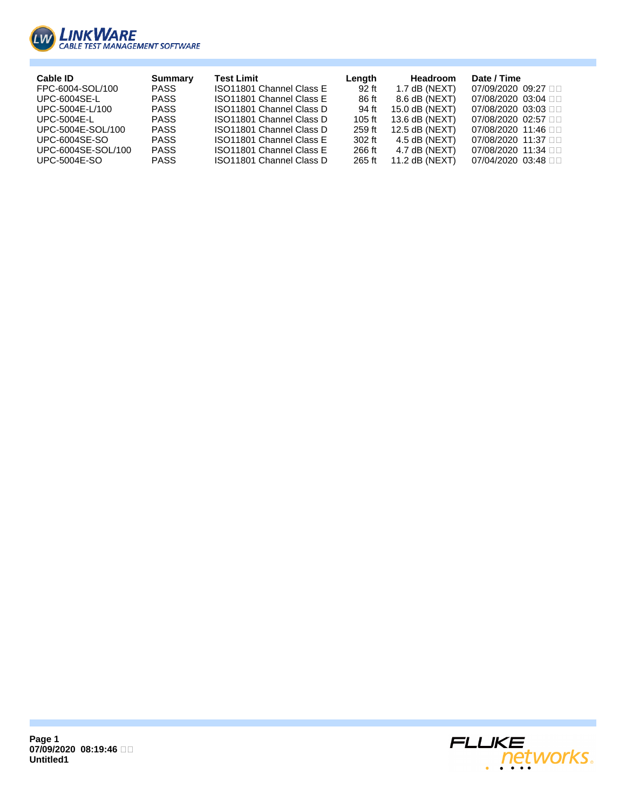

| Cable ID             | <b>Summary</b> | <b>Test Limit</b>        | Length | <b>Headroom</b>  | Date / Time                    |
|----------------------|----------------|--------------------------|--------|------------------|--------------------------------|
| FPC-6004-SOL/100     | PASS           | ISO11801 Channel Class E | 92 ft  | 1.7 dB (NEXT)    | 07/09/2020 09:27 □□            |
| <b>UPC-6004SE-L</b>  | <b>PASS</b>    | ISO11801 Channel Class E | 86 ft  | 8.6 dB (NEXT)    | 07/08/2020 03:04 □□            |
| UPC-5004E-L/100      | <b>PASS</b>    | ISO11801 Channel Class D | 94 ft  | $15.0$ dB (NEXT) | 07/08/2020 03:03 □□            |
| UPC-5004E-L          | <b>PASS</b>    | ISO11801 Channel Class D | 105 ft | 13.6 dB (NEXT)   | 07/08/2020 02:57 □□            |
| UPC-5004E-SOL/100    | <b>PASS</b>    | ISO11801 Channel Class D | 259 ft | $12.5$ dB (NEXT) | 07/08/2020 11:46 □□            |
| <b>UPC-6004SE-SO</b> | <b>PASS</b>    | ISO11801 Channel Class E | 302 ft | 4.5 dB (NEXT)    | 07/08/2020 11:37 □□            |
| UPC-6004SE-SOL/100   | <b>PASS</b>    | ISO11801 Channel Class E | 266 ft | $4.7$ dB (NEXT)  | 07/08/2020 11:34 □□            |
| UPC-5004E-SO         | <b>PASS</b>    | ISO11801 Channel Class D | 265 ft | 11.2 $dB$ (NEXT) | $07/04/2020$ $03:48$ $\square$ |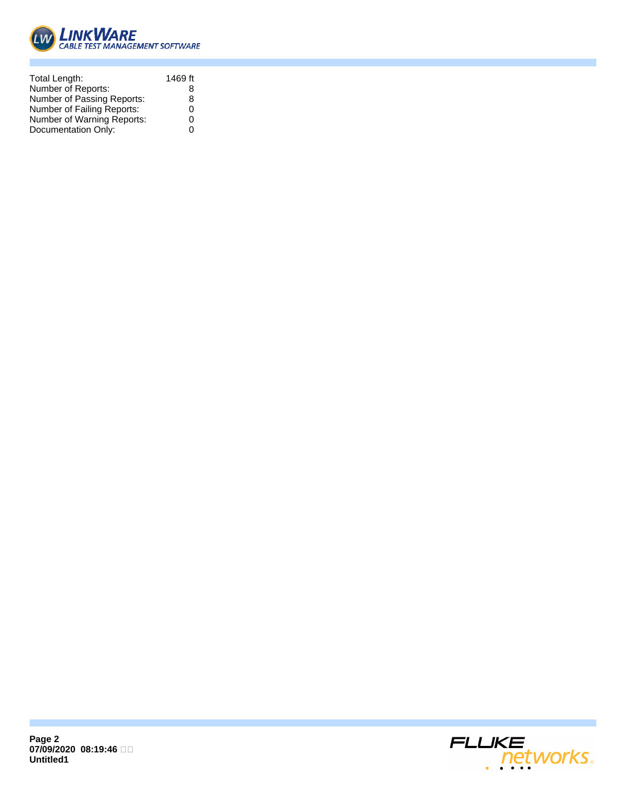

| Total Length:              | 1469 ft |
|----------------------------|---------|
| Number of Reports:         | 8       |
| Number of Passing Reports: | 8       |
| Number of Failing Reports: | 0       |
| Number of Warning Reports: | ი       |
| Documentation Only:        |         |

**Page 2 07/09/2020 08:19:46 Untitled1**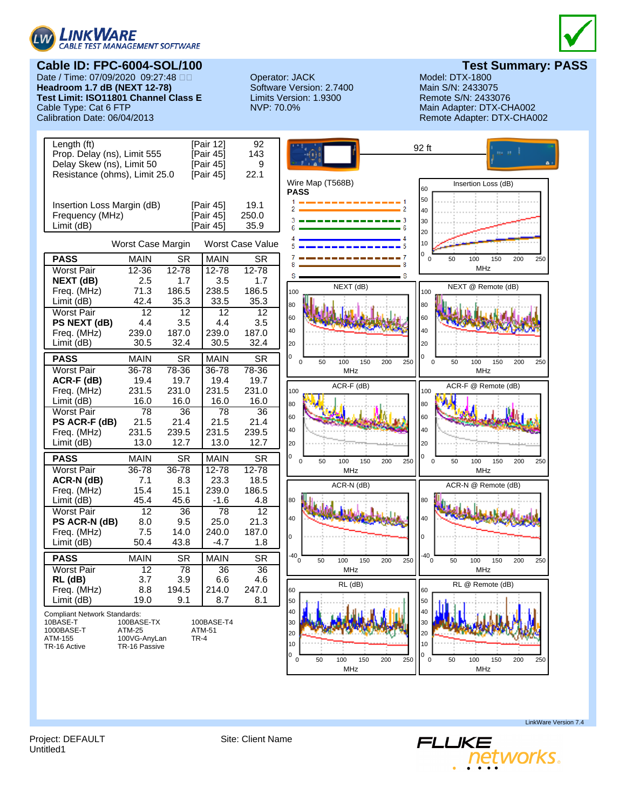

## **Cable ID: FPC-6004-SOL/100**<br>Date / Time: 07/09/2020 09:27:48 DD **Derator: JACK Model: DTX-1800** Model: DTX-1800

Date / Time: 07/09/2020 09:27:48 Operator: JACK Model: DTX-1800 **Headroom 1.7 dB (NEXT 12-78) Test Limit: ISO11801 Channel Class E** Limits Version: 1.9300 Remote S/N: 2433076 Cable Type: Cat 6 FTP **NVP: 70.0%** MICHADO2 Main Adapter: DTX-CHA002 Calibration Date: 06/04/2013 Main Adapter: DTX-CHA002



Remote Adapter: DTX-CHA002



Project: DEFAULT Site: Client Name Untitled1

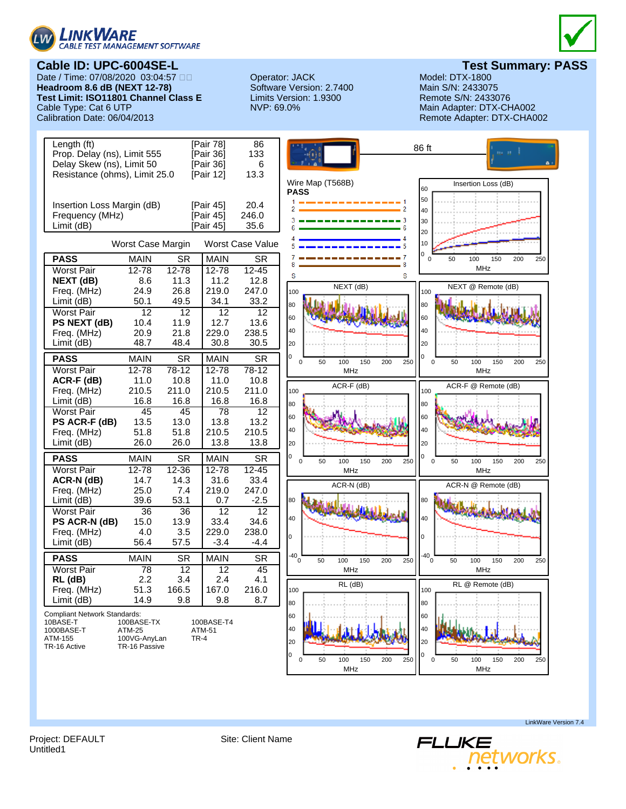

**Cable ID: UPC-6004SE-L Test Summary: PASS** Date / Time: 07/08/2020 03:04:57 Operator: JACK Model: DTX-1800 **Headroom 8.6 dB (NEXT 12-78) Test Limit: ISO11801 Channel Class E** Limits Version: 1.9300 Remote S/N: 2433076 Cable Type: Cat 6 UTP <br>Calibration Date: 06/04/2013 **Main Adapter: DTX-CHA002** Calibration Date: 06/04/2013



Remote Adapter: DTX-CHA002



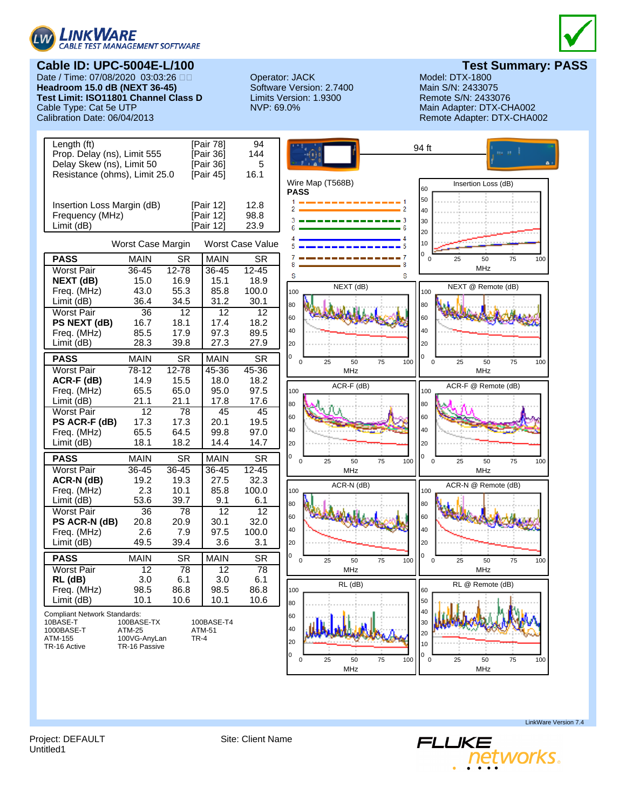

# **Cable ID: UPC-5004E-L/100 Test Summary: PASS**

Date / Time: 07/08/2020 03:03:26 Operator: JACK Model: DTX-1800 **Headroom 15.0 dB (NEXT 36-45)** Test Limit: ISO11801 Channel Class D Limits Version: 1.9300 Remote S/N: 2433076 Cable Type: Cat 5e UTP <br>Calibration Date: 06/04/2013 Main Adapter: DTX-CHA002<br>Calibration Date: 06/04/2013 Main Adapter: DTX-CHA0



Remote Adapter: DTX-CHA002



Project: DEFAULT Site: Client Name Untitled1

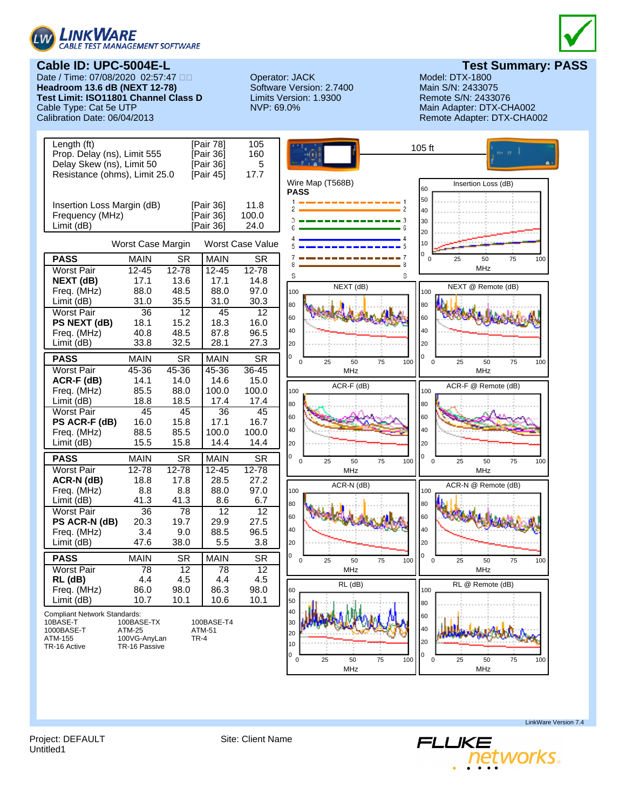

**Cable ID: UPC-5004E-L Test Summary: PASS** Date / Time: 07/08/2020 02:57:47 Operator: JACK Model: DTX-1800 **Headroom 13.6 dB (NEXT 12-78)** Test Limit: ISO11801 Channel Class D Limits Version: 1.9300 Remote S/N: 2433076 Cable Type: Cat 5e UTP <br>Calibration Date: 06/04/2013 Main Adapter: DTX-CHA002<br>Calibration Date: 06/04/2013 Main Adapter: DTX-CHA0



Remote Adapter: DTX-CHA002



Untitled1

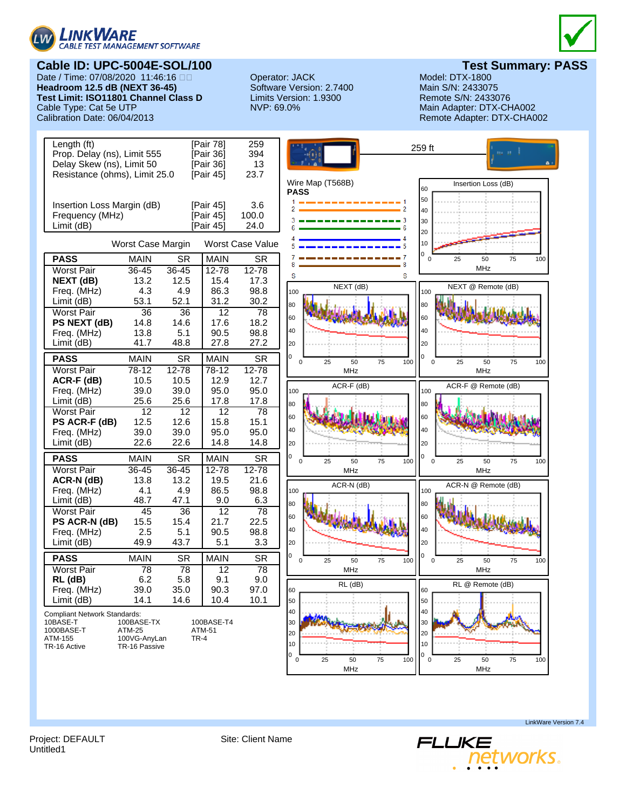

## **Cable ID: UPC-5004E-SOL/100 Cable ID: UPC-5004E-SOL/100 Test Summary: PASS**<br>Date / Time: 07/08/2020 11:46:16 DD **Operator: JACK** Model: DTX-1800

Date / Time: 07/08/2020 11:46:16 Operator: JACK Model: DTX-1800 **Headroom 12.5 dB (NEXT 36-45)** Test Limit: ISO11801 Channel Class D Limits Version: 1.9300 Remote S/N: 2433076 Cable Type: Cat 5e UTP <br>Calibration Date: 06/04/2013 Main Adapter: DTX-CHA002<br>Calibration Date: 06/04/2013 Main Adapter: DTX-CHA0



Remote Adapter: DTX-CHA002



Project: DEFAULT Site: Client Name

LinkWare Version 7.4



Untitled1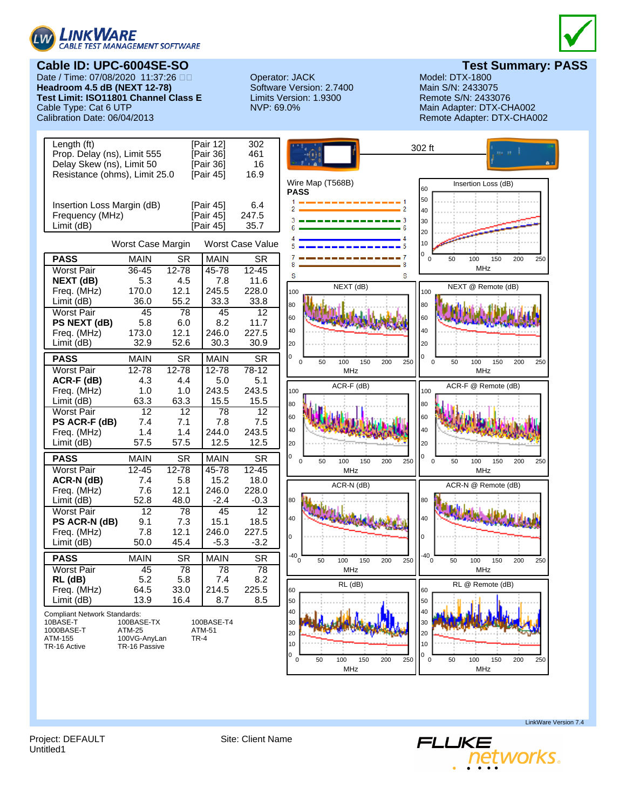

**Cable ID: UPC-6004SE-SO Test Summary: PASS** Date / Time: 07/08/2020 11:37:26 Operator: JACK Model: DTX-1800 **Headroom 4.5 dB (NEXT 12-78)** Test Limit: ISO11801 Channel Class E Limits Version: 1.9300 Remote S/N: 2433076 Cable Type: Cat 6 UTP <br>Calibration Date: 06/04/2013 **Main Adapter: DTX-CHA002** Calibration Date: 06/04/2013



Remote Adapter: DTX-CHA002



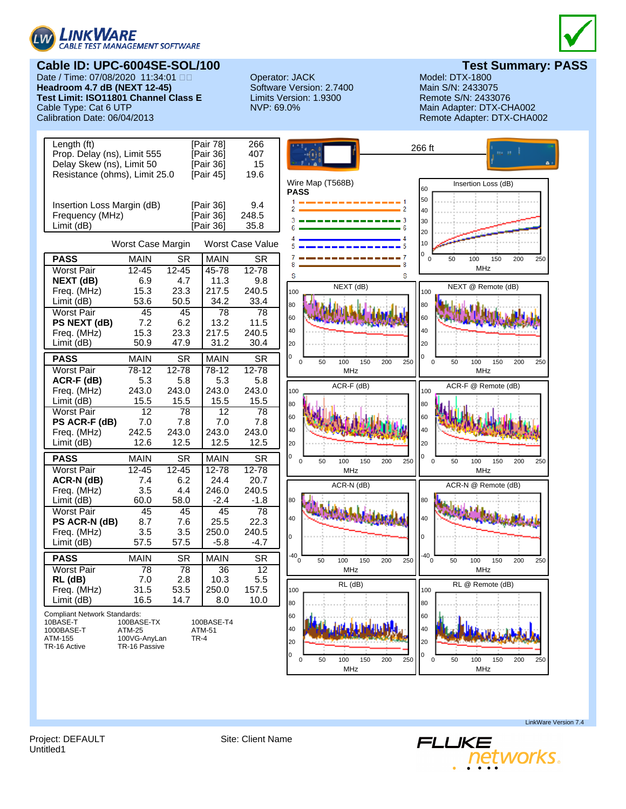![](_page_8_Picture_0.jpeg)

## **Cable ID: UPC-6004SE-SOL/100 Cable ID: UPC-6004SE-SOL/100 Test Summary: PASS**<br>Date / Time: 07/08/2020 11:34:01 DD **Charled Contract Contract Contract Contract Contract Contract Contract Contra**

Date / Time: 07/08/2020 11:34:01 Operator: JACK Model: DTX-1800 **Headroom 4.7 dB (NEXT 12-45)** Test Limit: ISO11801 Channel Class E Limits Version: 1.9300 Remote S/N: 2433076 Cable Type: Cat 6 UTP <br>Calibration Date: 06/04/2013 **Main Adapter: DTX-CHA002** Calibration Date: 06/04/2013

![](_page_8_Picture_4.jpeg)

Remote Adapter: DTX-CHA002

![](_page_8_Figure_7.jpeg)

Project: DEFAULT Site: Client Name Untitled1

![](_page_8_Picture_10.jpeg)